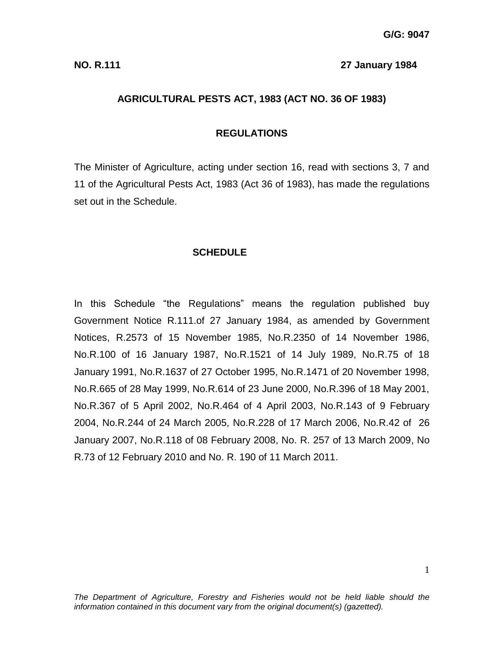#### **NO. R.111 27 January 1984**

#### **AGRICULTURAL PESTS ACT, 1983 (ACT NO. 36 OF 1983)**

#### **REGULATIONS**

The Minister of Agriculture, acting under section 16, read with sections 3, 7 and 11 of the Agricultural Pests Act, 1983 (Act 36 of 1983), has made the regulations set out in the Schedule.

#### **SCHEDULE**

In this Schedule "the Regulations" means the regulation published buy Government Notice R.111.of 27 January 1984, as amended by Government Notices, R.2573 of 15 November 1985, No.R.2350 of 14 November 1986, No.R.100 of 16 January 1987, No.R.1521 of 14 July 1989, No.R.75 of 18 January 1991, No.R.1637 of 27 October 1995, No.R.1471 of 20 November 1998, No.R.665 of 28 May 1999, No.R.614 of 23 June 2000, No.R.396 of 18 May 2001, No.R.367 of 5 April 2002, No.R.464 of 4 April 2003, No.R.143 of 9 February 2004, No.R.244 of 24 March 2005, No.R.228 of 17 March 2006, No.R.42 of 26 January 2007, No.R.118 of 08 February 2008, No. R. 257 of 13 March 2009, No R.73 of 12 February 2010 and No. R. 190 of 11 March 2011.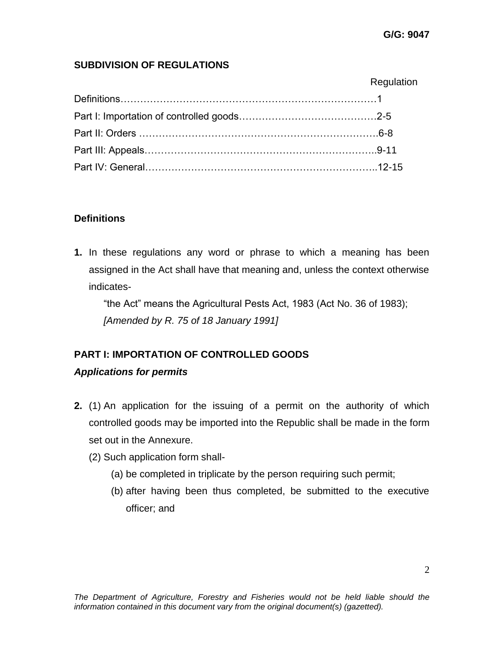# **SUBDIVISION OF REGULATIONS**

| Regulation |
|------------|
|            |
|            |
|            |
|            |
|            |

# **Definitions**

**1.** In these regulations any word or phrase to which a meaning has been assigned in the Act shall have that meaning and, unless the context otherwise indicates-

"the Act" means the Agricultural Pests Act, 1983 (Act No. 36 of 1983); *[Amended by R. 75 of 18 January 1991]*

# **PART I: IMPORTATION OF CONTROLLED GOODS**

# *Applications for permits*

- **2.** (1) An application for the issuing of a permit on the authority of which controlled goods may be imported into the Republic shall be made in the form set out in the Annexure.
	- (2) Such application form shall-
		- (a) be completed in triplicate by the person requiring such permit;
		- (b) after having been thus completed, be submitted to the executive officer; and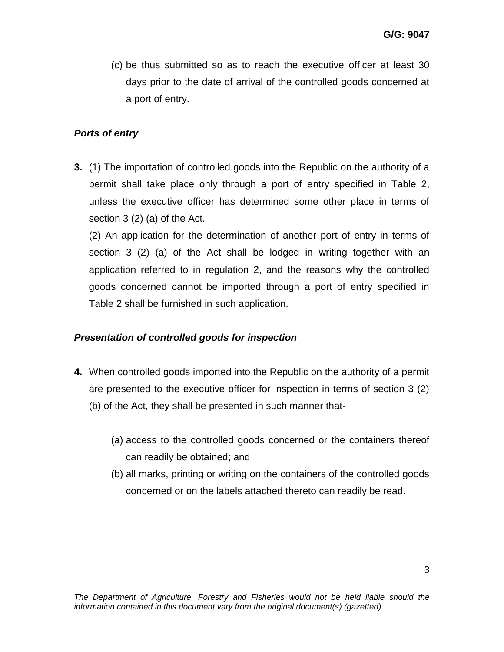(c) be thus submitted so as to reach the executive officer at least 30 days prior to the date of arrival of the controlled goods concerned at a port of entry.

#### *Ports of entry*

**3.** (1) The importation of controlled goods into the Republic on the authority of a permit shall take place only through a port of entry specified in Table 2, unless the executive officer has determined some other place in terms of section 3 (2) (a) of the Act.

(2) An application for the determination of another port of entry in terms of section 3 (2) (a) of the Act shall be lodged in writing together with an application referred to in regulation 2, and the reasons why the controlled goods concerned cannot be imported through a port of entry specified in Table 2 shall be furnished in such application.

# *Presentation of controlled goods for inspection*

- **4.** When controlled goods imported into the Republic on the authority of a permit are presented to the executive officer for inspection in terms of section 3 (2) (b) of the Act, they shall be presented in such manner that-
	- (a) access to the controlled goods concerned or the containers thereof can readily be obtained; and
	- (b) all marks, printing or writing on the containers of the controlled goods concerned or on the labels attached thereto can readily be read.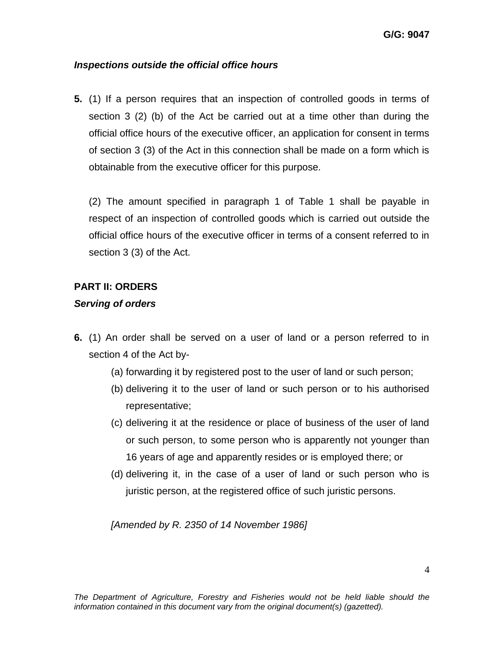# *Inspections outside the official office hours*

**5.** (1) If a person requires that an inspection of controlled goods in terms of section 3 (2) (b) of the Act be carried out at a time other than during the official office hours of the executive officer, an application for consent in terms of section 3 (3) of the Act in this connection shall be made on a form which is obtainable from the executive officer for this purpose*.* 

(2) The amount specified in paragraph 1 of Table 1 shall be payable in respect of an inspection of controlled goods which is carried out outside the official office hours of the executive officer in terms of a consent referred to in section 3 (3) of the Act.

#### **PART II: ORDERS**

#### *Serving of orders*

- **6.** (1) An order shall be served on a user of land or a person referred to in section 4 of the Act by-
	- (a) forwarding it by registered post to the user of land or such person;
	- (b) delivering it to the user of land or such person or to his authorised representative;
	- (c) delivering it at the residence or place of business of the user of land or such person, to some person who is apparently not younger than 16 years of age and apparently resides or is employed there; or
	- (d) delivering it, in the case of a user of land or such person who is juristic person, at the registered office of such juristic persons.

*[Amended by R. 2350 of 14 November 1986]*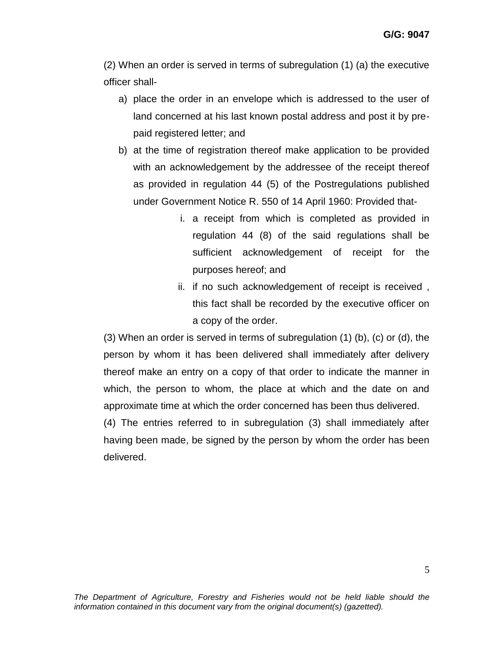(2) When an order is served in terms of subregulation (1) (a) the executive officer shall-

- a) place the order in an envelope which is addressed to the user of land concerned at his last known postal address and post it by prepaid registered letter; and
- b) at the time of registration thereof make application to be provided with an acknowledgement by the addressee of the receipt thereof as provided in regulation 44 (5) of the Postregulations published under Government Notice R. 550 of 14 April 1960: Provided that
	- i. a receipt from which is completed as provided in regulation 44 (8) of the said regulations shall be sufficient acknowledgement of receipt for the purposes hereof; and
	- ii. if no such acknowledgement of receipt is received , this fact shall be recorded by the executive officer on a copy of the order.

(3) When an order is served in terms of subregulation (1) (b), (c) or (d), the person by whom it has been delivered shall immediately after delivery thereof make an entry on a copy of that order to indicate the manner in which, the person to whom, the place at which and the date on and approximate time at which the order concerned has been thus delivered.

(4) The entries referred to in subregulation (3) shall immediately after having been made, be signed by the person by whom the order has been delivered.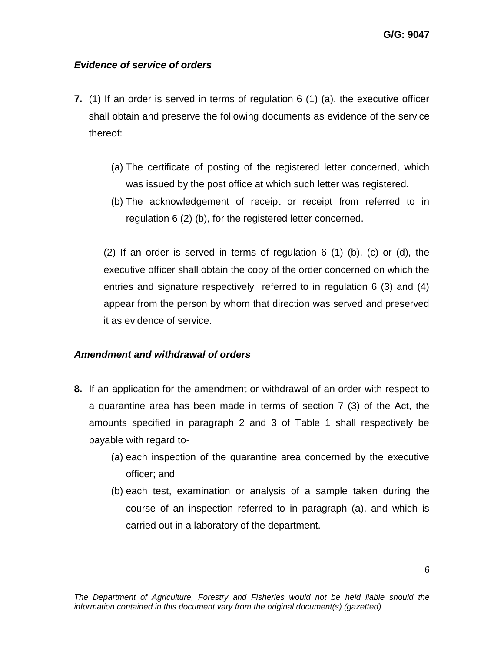#### *Evidence of service of orders*

- **7.** (1) If an order is served in terms of regulation 6 (1) (a), the executive officer shall obtain and preserve the following documents as evidence of the service thereof:
	- (a) The certificate of posting of the registered letter concerned, which was issued by the post office at which such letter was registered.
	- (b) The acknowledgement of receipt or receipt from referred to in regulation 6 (2) (b), for the registered letter concerned.

(2) If an order is served in terms of regulation 6 (1) (b), (c) or (d), the executive officer shall obtain the copy of the order concerned on which the entries and signature respectively referred to in regulation 6 (3) and (4) appear from the person by whom that direction was served and preserved it as evidence of service.

#### *Amendment and withdrawal of orders*

- **8.** If an application for the amendment or withdrawal of an order with respect to a quarantine area has been made in terms of section 7 (3) of the Act, the amounts specified in paragraph 2 and 3 of Table 1 shall respectively be payable with regard to-
	- (a) each inspection of the quarantine area concerned by the executive officer; and
	- (b) each test, examination or analysis of a sample taken during the course of an inspection referred to in paragraph (a), and which is carried out in a laboratory of the department.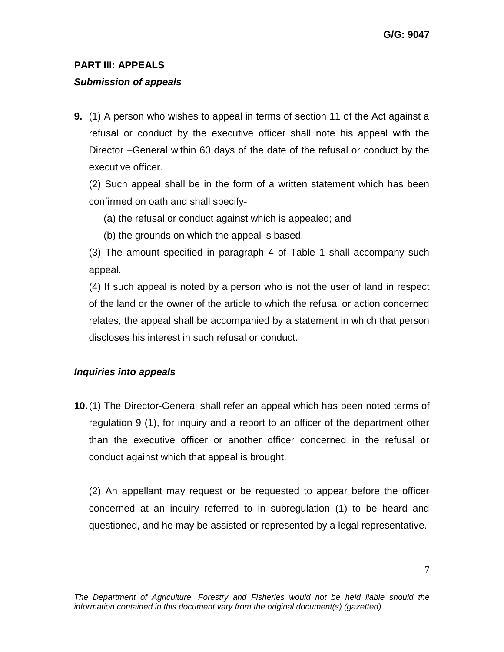# **PART III: APPEALS**

# *Submission of appeals*

**9.** (1) A person who wishes to appeal in terms of section 11 of the Act against a refusal or conduct by the executive officer shall note his appeal with the Director –General within 60 days of the date of the refusal or conduct by the executive officer.

(2) Such appeal shall be in the form of a written statement which has been confirmed on oath and shall specify-

(a) the refusal or conduct against which is appealed; and

(b) the grounds on which the appeal is based.

(3) The amount specified in paragraph 4 of Table 1 shall accompany such appeal.

(4) If such appeal is noted by a person who is not the user of land in respect of the land or the owner of the article to which the refusal or action concerned relates, the appeal shall be accompanied by a statement in which that person discloses his interest in such refusal or conduct.

# *Inquiries into appeals*

**10.**(1) The Director-General shall refer an appeal which has been noted terms of regulation 9 (1), for inquiry and a report to an officer of the department other than the executive officer or another officer concerned in the refusal or conduct against which that appeal is brought.

(2) An appellant may request or be requested to appear before the officer concerned at an inquiry referred to in subregulation (1) to be heard and questioned, and he may be assisted or represented by a legal representative.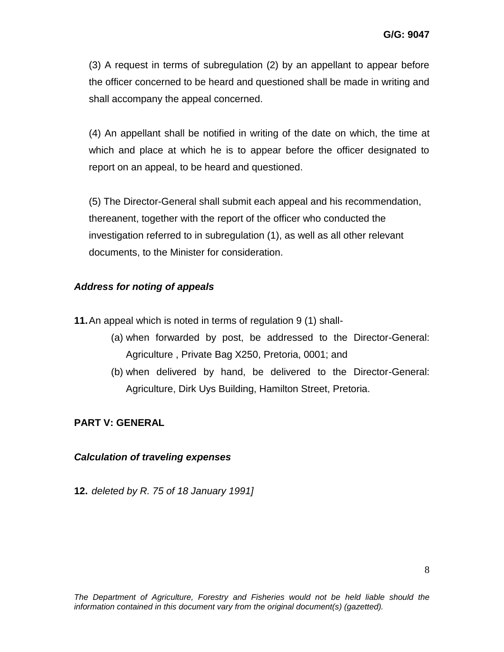(3) A request in terms of subregulation (2) by an appellant to appear before the officer concerned to be heard and questioned shall be made in writing and shall accompany the appeal concerned.

(4) An appellant shall be notified in writing of the date on which, the time at which and place at which he is to appear before the officer designated to report on an appeal, to be heard and questioned.

(5) The Director-General shall submit each appeal and his recommendation, thereanent, together with the report of the officer who conducted the investigation referred to in subregulation (1), as well as all other relevant documents, to the Minister for consideration.

# *Address for noting of appeals*

**11.**An appeal which is noted in terms of regulation 9 (1) shall-

- (a) when forwarded by post, be addressed to the Director-General: Agriculture , Private Bag X250, Pretoria, 0001; and
- (b) when delivered by hand, be delivered to the Director-General: Agriculture, Dirk Uys Building, Hamilton Street, Pretoria.

# **PART V: GENERAL**

# *Calculation of traveling expenses*

**12.** *deleted by R. 75 of 18 January 1991]*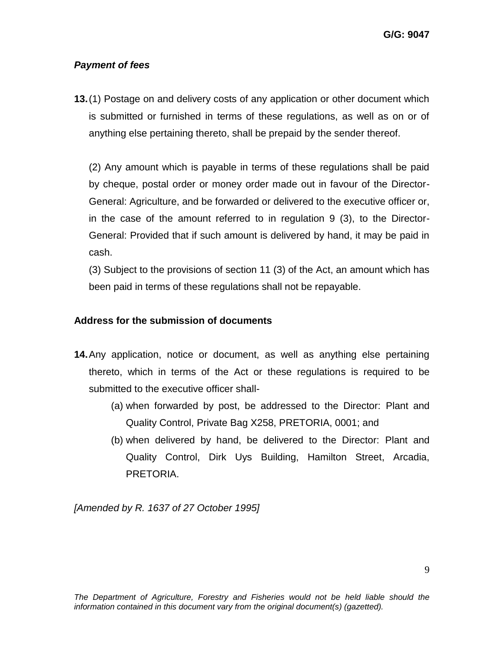#### *Payment of fees*

**13.**(1) Postage on and delivery costs of any application or other document which is submitted or furnished in terms of these regulations, as well as on or of anything else pertaining thereto, shall be prepaid by the sender thereof.

(2) Any amount which is payable in terms of these regulations shall be paid by cheque, postal order or money order made out in favour of the Director-General: Agriculture, and be forwarded or delivered to the executive officer or, in the case of the amount referred to in regulation 9 (3), to the Director-General: Provided that if such amount is delivered by hand, it may be paid in cash.

(3) Subject to the provisions of section 11 (3) of the Act, an amount which has been paid in terms of these regulations shall not be repayable.

#### **Address for the submission of documents**

- **14.**Any application, notice or document, as well as anything else pertaining thereto, which in terms of the Act or these regulations is required to be submitted to the executive officer shall-
	- (a) when forwarded by post, be addressed to the Director: Plant and Quality Control, Private Bag X258, PRETORIA, 0001; and
	- (b) when delivered by hand, be delivered to the Director: Plant and Quality Control, Dirk Uys Building, Hamilton Street, Arcadia, PRETORIA.

*[Amended by R. 1637 of 27 October 1995]*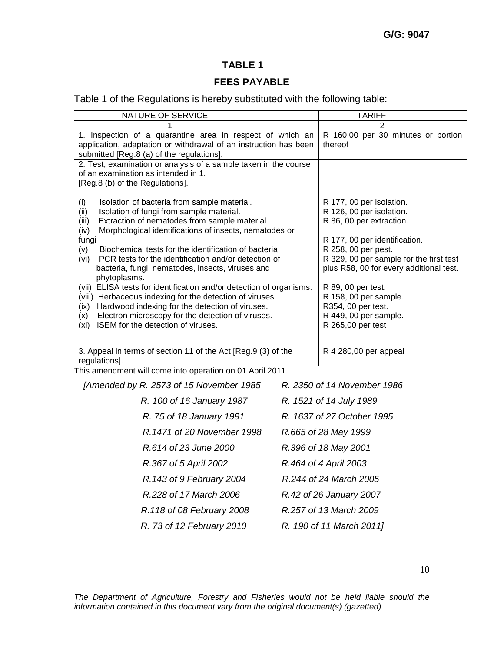# **TABLE 1**

#### **FEES PAYABLE**

Table 1 of the Regulations is hereby substituted with the following table:

| NATURE OF SERVICE                                                                                      | <b>TARIFF</b>                                        |
|--------------------------------------------------------------------------------------------------------|------------------------------------------------------|
|                                                                                                        | 2                                                    |
| 1. Inspection of a quarantine area in respect of which an                                              | R 160,00 per 30 minutes or portion                   |
| application, adaptation or withdrawal of an instruction has been                                       | thereof                                              |
| submitted [Reg.8 (a) of the regulations].                                                              |                                                      |
| 2. Test, examination or analysis of a sample taken in the course                                       |                                                      |
| of an examination as intended in 1.                                                                    |                                                      |
| [Reg.8 (b) of the Regulations].                                                                        |                                                      |
|                                                                                                        |                                                      |
| Isolation of bacteria from sample material.<br>(i)<br>Isolation of fungi from sample material.<br>(ii) | R 177, 00 per isolation.<br>R 126, 00 per isolation. |
| Extraction of nematodes from sample material<br>(iii)                                                  | R 86, 00 per extraction.                             |
| Morphological identifications of insects, nematodes or<br>(iv)                                         |                                                      |
| fungi                                                                                                  | R 177, 00 per identification.                        |
| (v)<br>Biochemical tests for the identification of bacteria                                            | R 258, 00 per pest.                                  |
| PCR tests for the identification and/or detection of<br>(vi)                                           | R 329, 00 per sample for the first test              |
| bacteria, fungi, nematodes, insects, viruses and                                                       | plus R58, 00 for every additional test.              |
| phytoplasms.                                                                                           |                                                      |
| ELISA tests for identification and/or detection of organisms.<br>(vii)                                 | R 89, 00 per test.                                   |
| Herbaceous indexing for the detection of viruses.<br>(viii)                                            | R 158, 00 per sample.                                |
| Hardwood indexing for the detection of viruses.<br>(ix)                                                | R354, 00 per test.                                   |
| Electron microscopy for the detection of viruses.<br>(x)                                               | R 449, 00 per sample.                                |
| ISEM for the detection of viruses.<br>(xi)                                                             | R 265,00 per test                                    |
|                                                                                                        |                                                      |
| 3. Appeal in terms of section 11 of the Act [Reg.9 (3) of the                                          | R 4 280,00 per appeal                                |
| regulations].                                                                                          |                                                      |
| This amondment will come into energtion on 01 April 2011                                               |                                                      |

This amendment will come into operation on 01 April 2011.

| [Amended by R. 2573 of 15 November 1985 | R. 2350 of 14 November 1986 |
|-----------------------------------------|-----------------------------|
| R. 100 of 16 January 1987               | R. 1521 of 14 July 1989     |
| R. 75 of 18 January 1991                | R. 1637 of 27 October 1995  |
| R.1471 of 20 November 1998              | R.665 of 28 May 1999        |
| R.614 of 23 June 2000                   | R.396 of 18 May 2001        |
| R.367 of 5 April 2002                   | R.464 of 4 April 2003       |
| R.143 of 9 February 2004                | R.244 of 24 March 2005      |
| R.228 of 17 March 2006                  | R.42 of 26 January 2007     |
| R.118 of 08 February 2008               | R.257 of 13 March 2009      |
| R. 73 of 12 February 2010               | R. 190 of 11 March 2011]    |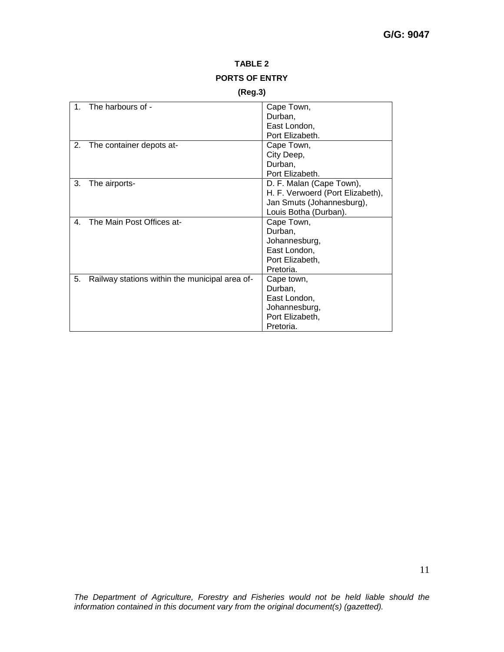#### **TABLE 2 PORTS OF ENTRY**

#### **(Reg.3)**

| $\mathbf{1}$   | The harbours of -                              | Cape Town,                       |
|----------------|------------------------------------------------|----------------------------------|
|                |                                                | Durban,                          |
|                |                                                | East London,                     |
|                |                                                | Port Elizabeth.                  |
| 2.             | The container depots at-                       | Cape Town,                       |
|                |                                                | City Deep,                       |
|                |                                                | Durban,                          |
|                |                                                | Port Elizabeth.                  |
| 3.             | The airports-                                  | D. F. Malan (Cape Town),         |
|                |                                                | H. F. Verwoerd (Port Elizabeth), |
|                |                                                | Jan Smuts (Johannesburg),        |
|                |                                                | Louis Botha (Durban).            |
| $\mathbf{4}$ . | The Main Post Offices at-                      | Cape Town,                       |
|                |                                                | Durban,                          |
|                |                                                | Johannesburg,                    |
|                |                                                | East London,                     |
|                |                                                | Port Elizabeth,                  |
|                |                                                | Pretoria.                        |
| 5.             | Railway stations within the municipal area of- | Cape town,                       |
|                |                                                | Durban,                          |
|                |                                                | East London,                     |
|                |                                                | Johannesburg,                    |
|                |                                                | Port Elizabeth,                  |
|                |                                                | Pretoria.                        |